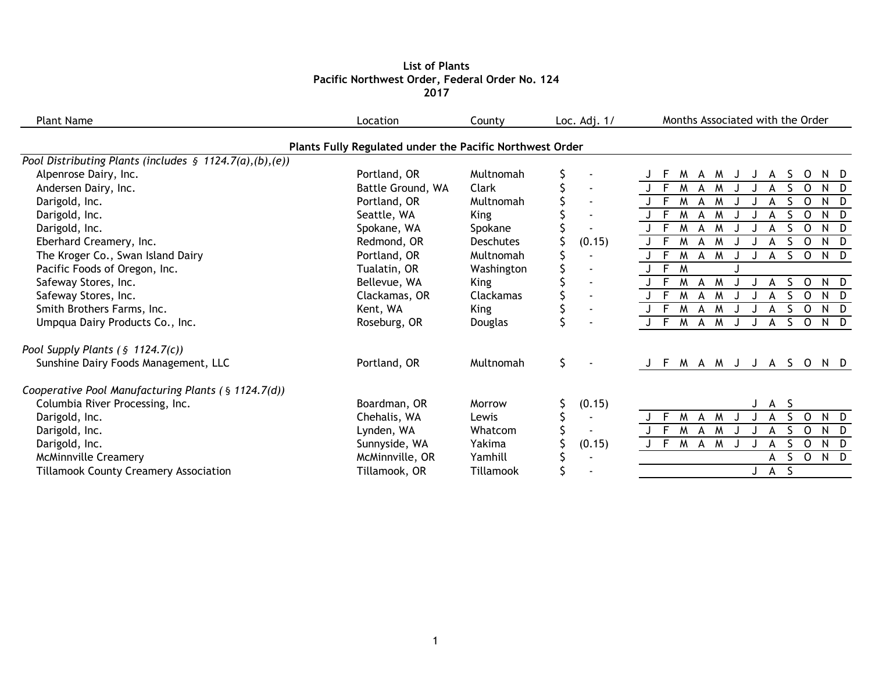## **List of Plants Pacific Northwest Order, Federal Order No. 124 2017**

| <b>Plant Name</b>                                          | Location                                                 | County           | Loc. Adj. 1/             | Months Associated with the Order                          |
|------------------------------------------------------------|----------------------------------------------------------|------------------|--------------------------|-----------------------------------------------------------|
|                                                            | Plants Fully Regulated under the Pacific Northwest Order |                  |                          |                                                           |
| Pool Distributing Plants (includes $\S$ 1124.7(a),(b),(e)) |                                                          |                  |                          |                                                           |
| Alpenrose Dairy, Inc.                                      | Portland, OR                                             | Multnomah        |                          | M<br>A M<br>S.<br>$\circ$<br>N D<br>F<br>J<br>A           |
| Andersen Dairy, Inc.                                       | Battle Ground, WA                                        | Clark            |                          | $J - F$<br>M<br>S.<br>$\Omega$<br>M<br>N D<br>A           |
| Darigold, Inc.                                             | Portland, OR                                             | Multnomah        |                          | M<br>- F<br>$M_{\odot}$<br>$\Omega$<br>N D<br>A           |
| Darigold, Inc.                                             | Seattle, WA                                              | <b>King</b>      | $\blacksquare$           | M<br>S.<br>$\Omega$<br>N D<br>-F<br>M<br>A                |
| Darigold, Inc.                                             | Spokane, WA                                              | Spokane          |                          | $\Omega$<br>M<br>N D<br>A<br>M                            |
| Eberhard Creamery, Inc.                                    | Redmond, OR                                              | <b>Deschutes</b> | (0.15)                   | $\Omega$<br>M<br>N D<br>A                                 |
| The Kroger Co., Swan Island Dairy                          | Portland, OR                                             | Multnomah        |                          | $S$ O<br>N D<br>M<br>- F<br>M<br>A                        |
| Pacific Foods of Oregon, Inc.                              | Tualatin, OR                                             | Washington       |                          | $J$ F<br>M                                                |
| Safeway Stores, Inc.                                       | Bellevue, WA                                             | <b>King</b>      | $\overline{\phantom{a}}$ | S.<br>$\Omega$<br>M<br>N D<br>M<br>A                      |
| Safeway Stores, Inc.                                       | Clackamas, OR                                            | Clackamas        |                          | -F<br>M<br>$\mathsf{O}$<br>N D<br>M<br>S.<br>A            |
| Smith Brothers Farms, Inc.                                 | Kent, WA                                                 | <b>King</b>      | $\blacksquare$           | $J - F$<br>S.<br>$\circ$<br>M<br>N D<br>A<br>M            |
| Umpqua Dairy Products Co., Inc.                            | Roseburg, OR                                             | Douglas          |                          | J F M A M<br>S O<br>N D<br>A                              |
| Pool Supply Plants ( $\frac{1}{2}$ 1124.7(c))              |                                                          |                  |                          |                                                           |
| Sunshine Dairy Foods Management, LLC                       | Portland, OR                                             | Multnomah        | \$                       | M A M J J A S O<br>N D<br>F                               |
| Cooperative Pool Manufacturing Plants (§ 1124.7(d))        |                                                          |                  |                          |                                                           |
| Columbia River Processing, Inc.                            | Boardman, OR                                             | Morrow           | (0.15)                   | S.<br>$\mathsf{A}$                                        |
| Darigold, Inc.                                             | Chehalis, WA                                             | Lewis            | $\sim$                   | E<br>M<br>$\mathsf{S}$<br>$\Omega$<br>N D<br>M<br>A       |
| Darigold, Inc.                                             | Lynden, WA                                               | Whatcom          |                          | $J$ F<br>M A M<br>S.<br>$\circ$<br>N D<br>A               |
| Darigold, Inc.                                             | Sunnyside, WA                                            | Yakima           | (0.15)                   | J F<br>$\overline{M}$<br>S.<br>$\circ$<br>N D<br>A M<br>А |
| <b>McMinnville Creamery</b>                                | McMinnville, OR                                          | Yamhill          |                          | N D<br>S<br>$\overline{O}$<br>А                           |
| <b>Tillamook County Creamery Association</b>               | Tillamook, OR                                            | Tillamook        |                          | $\mathsf{S}$<br>J A                                       |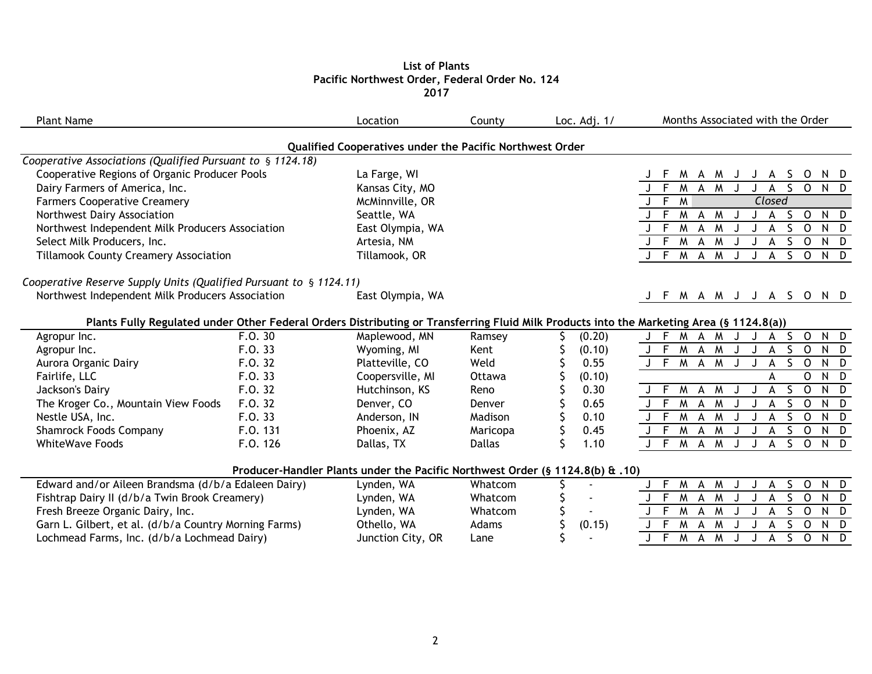# **List of Plants Pacific Northwest Order, Federal Order No. 124 2017**

| <b>Plant Name</b>                                                  |          | Location                                                                      | County        | Loc. Adj. 1/ | Months Associated with the Order                                                                                                         |
|--------------------------------------------------------------------|----------|-------------------------------------------------------------------------------|---------------|--------------|------------------------------------------------------------------------------------------------------------------------------------------|
|                                                                    |          | Qualified Cooperatives under the Pacific Northwest Order                      |               |              |                                                                                                                                          |
| Cooperative Associations (Qualified Pursuant to § 1124.18)         |          |                                                                               |               |              |                                                                                                                                          |
| Cooperative Regions of Organic Producer Pools                      |          | La Farge, WI                                                                  |               |              | M A<br>S.<br>$\tilde{M}$<br>0<br>N D<br>A<br>J                                                                                           |
| Dairy Farmers of America, Inc.                                     |          | Kansas City, MO                                                               |               |              | S.<br>N D<br>F<br>M<br>M<br>$\mathbf{O}$<br>A<br>A                                                                                       |
| <b>Farmers Cooperative Creamery</b>                                |          | McMinnville, OR                                                               |               |              | F<br>M<br>Closed                                                                                                                         |
| Northwest Dairy Association                                        |          | Seattle, WA                                                                   |               |              | F<br>M<br>N D<br>M<br>S.<br>$\circ$<br>A<br>A                                                                                            |
| Northwest Independent Milk Producers Association                   |          | East Olympia, WA                                                              |               |              | S<br>F<br>M<br>$\circ$<br>N D<br>$\overline{A}$<br>M<br>A                                                                                |
| Select Milk Producers, Inc.                                        |          | Artesia, NM                                                                   |               |              | F<br>M<br>S<br>$\mathsf{O}$<br>N D<br>A<br>M<br>А                                                                                        |
| <b>Tillamook County Creamery Association</b>                       |          | Tillamook, OR                                                                 |               |              | $J$ F<br>M<br>$\mathsf{A}$<br>M<br>$S$ O<br>N D<br>A                                                                                     |
| Cooperative Reserve Supply Units (Qualified Pursuant to § 1124.11) |          |                                                                               |               |              |                                                                                                                                          |
| Northwest Independent Milk Producers Association                   |          | East Olympia, WA                                                              |               |              | M A M J J A S O N D<br>J F                                                                                                               |
|                                                                    |          |                                                                               |               |              | Plants Fully Regulated under Other Federal Orders Distributing or Transferring Fluid Milk Products into the Marketing Area (§ 1124.8(a)) |
| Agropur Inc.                                                       | F.0.30   | Maplewood, MN                                                                 | Ramsey        | (0.20)       | $N$ D<br>E<br>M<br>S.<br>$\mathsf{O}$<br>A M<br>A                                                                                        |
| Agropur Inc.                                                       | F.0.33   | Wyoming, MI                                                                   | Kent          | (0.10)       | F<br>M A<br>M<br>S.<br>$\mathsf{O}$<br>N D                                                                                               |
| Aurora Organic Dairy                                               | F.O. 32  | Platteville, CO                                                               | Weld          | 0.55         | $J$ F<br>S<br>M A M<br>$\mathsf{o}$<br>N D<br>А                                                                                          |
| Fairlife, LLC                                                      | F.O. 33  | Coopersville, MI                                                              | Ottawa        | (0.10)       | $N$ D<br>$\mathsf{O}$<br>А                                                                                                               |
| Jackson's Dairy                                                    | F.O. 32  | Hutchinson, KS                                                                | Reno          | 0.30         | S<br>$\overline{0}$<br>$N$ $D$<br>J F<br>M<br>M<br>A<br>A                                                                                |
| The Kroger Co., Mountain View Foods                                | F.O. 32  | Denver, CO                                                                    | Denver        | 0.65         | $J \top$<br>M<br>S.<br>$\mathsf{O}$<br>N D<br>$\overline{A}$<br>M<br>A                                                                   |
| Nestle USA, Inc.                                                   | F.O. 33  | Anderson, IN                                                                  | Madison       | 0.10         | F<br>M<br>$\circ$<br>S<br>N D<br>A<br>M<br>А                                                                                             |
| <b>Shamrock Foods Company</b>                                      | F.O. 131 | Phoenix, AZ                                                                   | Maricopa      | \$<br>0.45   | $\mathsf{F}$<br>M A M<br>S.<br>$\circ$<br>N D<br>A                                                                                       |
| <b>WhiteWave Foods</b>                                             | F.O. 126 | Dallas, TX                                                                    | <b>Dallas</b> | Ŝ<br>1.10    | J F<br>M A M<br>$S$ O<br>N D<br>A<br>J                                                                                                   |
|                                                                    |          | Producer-Handler Plants under the Pacific Northwest Order (§ 1124.8(b) & .10) |               |              |                                                                                                                                          |
| Edward and/or Aileen Brandsma (d/b/a Edaleen Dairy)                |          | Lynden, WA                                                                    | Whatcom       |              | M<br>$\mathsf{O}$<br>N D<br>F.<br>$\overline{A}$<br>M<br>S.<br>А                                                                         |
| Fishtrap Dairy II (d/b/a Twin Brook Creamery)                      |          | Lynden, WA                                                                    | Whatcom       |              | E<br>M<br>S<br>$\mathsf{O}$<br>$N$ $D$<br>A<br>M                                                                                         |
| Fresh Breeze Organic Dairy, Inc.                                   |          | Lynden, WA                                                                    | Whatcom       |              | E<br>$\mathsf{O}$<br>$N$ D<br>M<br>S<br>M<br>A                                                                                           |
| Garn L. Gilbert, et al. (d/b/a Country Morning Farms)              |          | Othello, WA                                                                   | Adams         | (0.15)       | F<br>M<br>$\overline{O}$<br>N D<br>A<br>M                                                                                                |
| Lochmead Farms, Inc. (d/b/a Lochmead Dairy)                        |          | Junction City, OR                                                             | Lane          |              | $J$ F<br>$\mathsf{S}$<br>M A M<br>$\circ$<br>N D<br>A                                                                                    |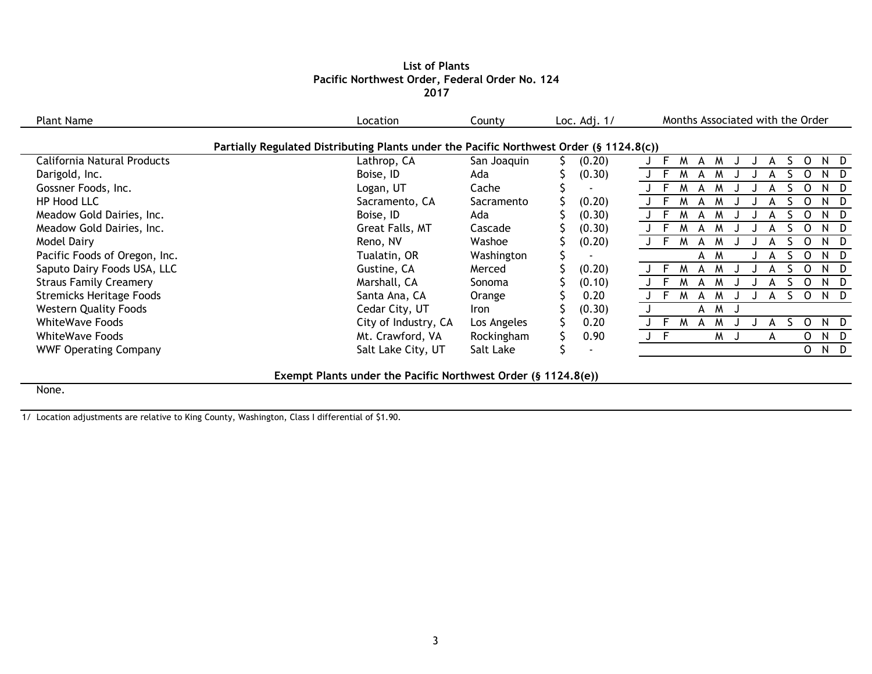### **List of Plants Pacific Northwest Order, Federal Order No. 124 2017**

| <b>Plant Name</b>                                                                       | Location             | County        | Loc. Adj. 1/ | Months Associated with the Order |  |
|-----------------------------------------------------------------------------------------|----------------------|---------------|--------------|----------------------------------|--|
| Partially Regulated Distributing Plants under the Pacific Northwest Order (§ 1124.8(c)) |                      |               |              |                                  |  |
| California Natural Products                                                             | Lathrop, CA          | San Joaquin   | (0.20)       |                                  |  |
| Darigold, Inc.                                                                          | Boise, ID            | Ada           | (0.30)       |                                  |  |
| Gossner Foods, Inc.                                                                     | Logan, UT            | Cache         |              | ND.                              |  |
| HP Hood LLC                                                                             | Sacramento, CA       | Sacramento    | (0.20)       | ND.                              |  |
| Meadow Gold Dairies, Inc.                                                               | Boise, ID            | Ada           | (0.30)       | ND.                              |  |
| Meadow Gold Dairies, Inc.                                                               | Great Falls, MT      | Cascade       | (0.30)       | ND.                              |  |
| Model Dairy                                                                             | Reno, NV             | Washoe        | (0.20)       | ND.                              |  |
| Pacific Foods of Oregon, Inc.                                                           | Tualatin, OR         | Washington    |              | N D<br>A<br>$\Omega$<br>M        |  |
| Saputo Dairy Foods USA, LLC                                                             | Gustine, CA          | Merced        | (0.20)       | ND.<br>$\Omega$<br>M             |  |
| <b>Straus Family Creamery</b>                                                           | Marshall, CA         | <b>Sonoma</b> | (0.10)       | ND.<br>M                         |  |
| <b>Stremicks Heritage Foods</b>                                                         | Santa Ana, CA        | Orange        | 0.20         | ND.<br>O<br>M<br>A               |  |
| <b>Western Quality Foods</b>                                                            | Cedar City, UT       | Iron          | (0.30)       | <b>M</b><br>A                    |  |
| <b>WhiteWave Foods</b>                                                                  | City of Industry, CA | Los Angeles   | 0.20         | N D<br>0<br>м<br>M<br>А          |  |
| <b>WhiteWave Foods</b>                                                                  | Mt. Crawford, VA     | Rockingham    | 0.90         | $\Omega$<br>ND<br>M<br>A         |  |
| <b>WWF Operating Company</b>                                                            | Salt Lake City, UT   | Salt Lake     |              | O<br>N D                         |  |
|                                                                                         |                      |               |              |                                  |  |

**Exempt Plants under the Pacific Northwest Order (§ 1124.8(e))**

None.

1/ Location adjustments are relative to King County, Washington, Class I differential of \$1.90.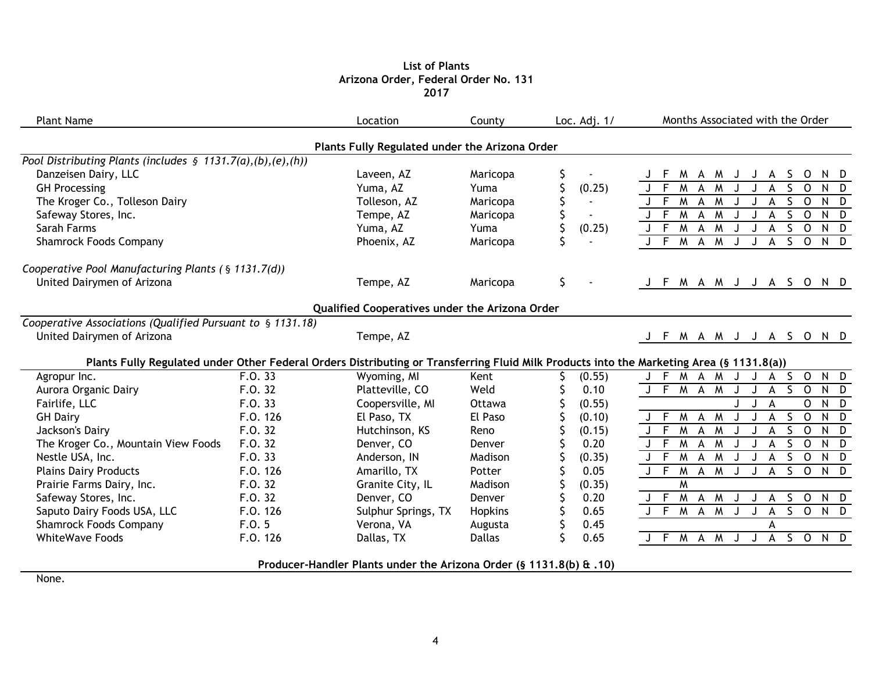### **List of Plants Arizona Order, Federal Order No. 131 2017**

| <b>Plant Name</b>                                              |          | Location                                                            | County        | Loc. Adj. 1/         | Months Associated with the Order                                                                                                         |
|----------------------------------------------------------------|----------|---------------------------------------------------------------------|---------------|----------------------|------------------------------------------------------------------------------------------------------------------------------------------|
|                                                                |          | Plants Fully Regulated under the Arizona Order                      |               |                      |                                                                                                                                          |
| Pool Distributing Plants (includes $\S$ 1131.7(a),(b),(e),(h)) |          |                                                                     |               |                      |                                                                                                                                          |
| Danzeisen Dairy, LLC                                           |          | Laveen, AZ                                                          | Maricopa      |                      | F<br>M<br>$\overline{S}$<br>$\circ$<br>A M<br>N D<br>A<br>J<br>J                                                                         |
| <b>GH Processing</b>                                           |          | Yuma, AZ                                                            | Yuma          | (0.25)               | F<br>M<br>M<br>$\mathsf{O}$<br>S.<br>$N$ $D$<br>A                                                                                        |
| The Kroger Co., Tolleson Dairy                                 |          | Tolleson, AZ                                                        | Maricopa      | $\blacksquare$       | F<br>$\overline{M}$<br>$\circ$<br>$\mathsf{A}$<br>M<br>S<br>N D<br>А                                                                     |
| Safeway Stores, Inc.                                           |          | Tempe, AZ                                                           | Maricopa      | $\sim$               | F<br>M<br>A M<br>S.<br>$\mathsf{O}$<br>N D<br>A                                                                                          |
| Sarah Farms                                                    |          | Yuma, AZ                                                            | Yuma          | (0.25)               | $\overline{\mathsf{S}}$<br>J F M A M<br>$\circ$<br>N D<br>A                                                                              |
| <b>Shamrock Foods Company</b>                                  |          | Phoenix, AZ                                                         | Maricopa      |                      | J F M A M<br>$S$ O<br>N D<br>J<br>A                                                                                                      |
| Cooperative Pool Manufacturing Plants (§ 1131.7(d))            |          |                                                                     |               |                      |                                                                                                                                          |
| United Dairymen of Arizona                                     |          | Tempe, AZ                                                           | Maricopa      | $\zeta$              | J F M A M J J A S O N D                                                                                                                  |
|                                                                |          | Qualified Cooperatives under the Arizona Order                      |               |                      |                                                                                                                                          |
| Cooperative Associations (Qualified Pursuant to § 1131.18)     |          |                                                                     |               |                      |                                                                                                                                          |
| United Dairymen of Arizona                                     |          | Tempe, AZ                                                           |               |                      | M A M J J A S O N D<br>J F                                                                                                               |
|                                                                |          |                                                                     |               |                      |                                                                                                                                          |
|                                                                |          |                                                                     |               |                      | Plants Fully Regulated under Other Federal Orders Distributing or Transferring Fluid Milk Products into the Marketing Area (§ 1131.8(a)) |
| Agropur Inc.                                                   | F.O. 33  | Wyoming, MI                                                         | Kent          | (0.55)               | J F M A M<br>$A$ $S$ $O$<br>N D<br>J<br>J<br>$\overline{S}$ 0                                                                            |
| Aurora Organic Dairy                                           | F.0.32   | Platteville, CO                                                     | Weld          | 0.10                 | J F M A M<br>J<br>A<br>N D                                                                                                               |
| Fairlife, LLC                                                  | F.0.33   | Coopersville, MI                                                    | Ottawa        | (0.55)               | $\mathsf{O}$<br>$N$ D<br>A                                                                                                               |
| <b>GH Dairy</b>                                                | F.O. 126 | El Paso, TX                                                         | El Paso       | (0.10)               | $S$ O<br>$N$ D<br>$J$ F<br>M A M<br>A<br>$\mathbf{L}$                                                                                    |
| Jackson's Dairy                                                | F.O. 32  | Hutchinson, KS                                                      | Reno          | (0.15)               | $\mathsf{F}$<br>M<br>$\overline{A}$<br>M<br>$\mathsf{S}$<br>$\circ$<br>N D<br>A                                                          |
| The Kroger Co., Mountain View Foods                            | F.O. 32  | Denver, CO                                                          | Denver        | 0.20                 | $J$ F<br>$\overline{M}$<br>$\overline{A}$<br>M<br>S.<br>$\circ$<br>N D<br>A                                                              |
| Nestle USA, Inc.                                               | F.O. 33  | Anderson, IN                                                        | Madison       | (0.35)               | $J \overline{F}$<br>M<br>$\mathsf{O}$<br>A M<br>S.<br>N D<br>A                                                                           |
| <b>Plains Dairy Products</b>                                   | F.O. 126 | Amarillo, TX                                                        | Potter        | 0.05                 | $J \overline{F}$<br>M<br>A M<br>$S$ O<br>N D<br>A<br>J                                                                                   |
| Prairie Farms Dairy, Inc.                                      | F.0.32   | Granite City, IL                                                    | Madison       | (0.35)               | M                                                                                                                                        |
| Safeway Stores, Inc.                                           | F.O. 32  | Denver, CO                                                          | Denver        | 0.20                 | F<br>M<br>A M<br>S<br>$\overline{O}$<br>N D<br>A                                                                                         |
| Saputo Dairy Foods USA, LLC                                    | F.O. 126 | Sulphur Springs, TX                                                 | Hopkins       | 0.65                 | $J$ F<br>50<br>$\overline{M}$ A<br>$\overline{M}$<br>$N$ D<br>$\boldsymbol{\mathsf{A}}$                                                  |
| <b>Shamrock Foods Company</b>                                  | F.0.5    | Verona, VA                                                          | Augusta       | \$<br>0.45           | A                                                                                                                                        |
| <b>WhiteWave Foods</b>                                         | F.O. 126 | Dallas, TX                                                          | <b>Dallas</b> | $\mathsf{S}$<br>0.65 | J F M A M<br>$\overline{A}$<br>S O<br>N D<br>J<br>J                                                                                      |
|                                                                |          | Producer-Handler Plants under the Arizona Order (§ 1131.8(b) & .10) |               |                      |                                                                                                                                          |

None.